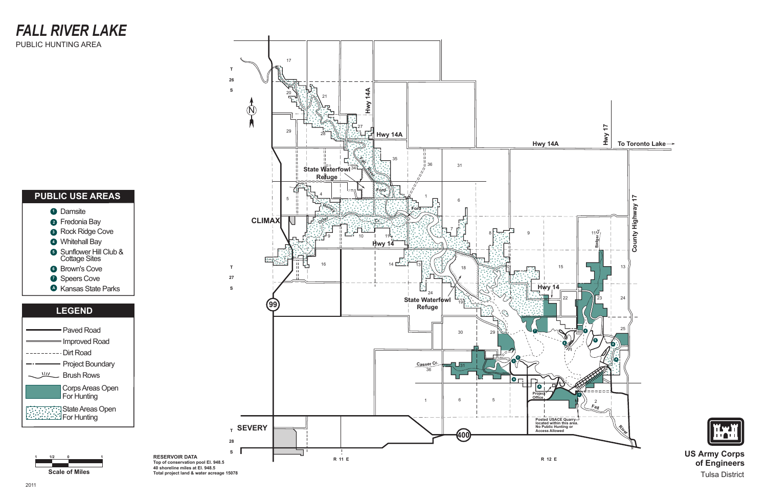

#### **PUBLIC USE AREAS**

#### **1** Damsite Fredonia Bay **2 3** Rock Ridge Cove Whitehall Bay **4** Sunflower Hill Club & **5** Sunnower Hill<br>Cottage Sites **6** Brown's Cove **7** Speers Cove





**US Army Corps of Engineers** Tulsa District

#### *FALL RIVER LAKE* PUBLIC HUNTING AREA



**RESERVOIR DATA**

**Top of conservation pool El. 948.5 40 shoreline miles at El. 948.5 Total project land & water acreage 15078**

Kansas State Parks **A**